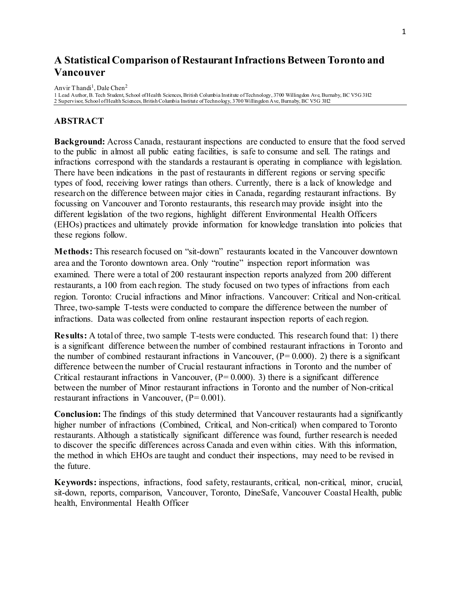# **A Statistical Comparison of Restaurant Infractions Between Toronto and Vancouver**

Anvir Thandi<sup>1</sup>, Dale Chen<sup>2</sup>

1 Lead Author, B. Tech Student, School of Health Sciences, British Columbia Institute of Technology, 3700 Willingdon Ave, Burnaby, BC V5G 3H2 2 Supervisor, School of Health Sciences, British Columbia Institute of Technology, 3700 Willingdon Ave, Burnaby, BC V5G 3H2

# **ABSTRACT**

**Background:** Across Canada, restaurant inspections are conducted to ensure that the food served to the public in almost all public eating facilities, is safe to consume and sell. The ratings and infractions correspond with the standards a restaurant is operating in compliance with legislation. There have been indications in the past of restaurants in different regions or serving specific types of food, receiving lower ratings than others. Currently, there is a lack of knowledge and research on the difference between major cities in Canada, regarding restaurant infractions. By focussing on Vancouver and Toronto restaurants, this research may provide insight into the different legislation of the two regions, highlight different Environmental Health Officers (EHOs) practices and ultimately provide information for knowledge translation into policies that these regions follow.

**Methods:** This research focused on "sit-down" restaurants located in the Vancouver downtown area and the Toronto downtown area. Only "routine" inspection report information was examined. There were a total of 200 restaurant inspection reports analyzed from 200 different restaurants, a 100 from each region. The study focused on two types of infractions from each region. Toronto: Crucial infractions and Minor infractions. Vancouver: Critical and Non-critical. Three, two-sample T-tests were conducted to compare the difference between the number of infractions. Data was collected from online restaurant inspection reports of each region.

**Results:** A total of three, two sample T-tests were conducted. This research found that: 1) there is a significant difference between the number of combined restaurant infractions in Toronto and the number of combined restaurant infractions in Vancouver,  $(P= 0.000)$ . 2) there is a significant difference between the number of Crucial restaurant infractions in Toronto and the number of Critical restaurant infractions in Vancouver,  $(P= 0.000)$ . 3) there is a significant difference between the number of Minor restaurant infractions in Toronto and the number of Non-critical restaurant infractions in Vancouver,  $(P= 0.001)$ .

**Conclusion:** The findings of this study determined that Vancouver restaurants had a significantly higher number of infractions (Combined, Critical, and Non-critical) when compared to Toronto restaurants. Although a statistically significant difference was found, further research is needed to discover the specific differences across Canada and even within cities. With this information, the method in which EHOs are taught and conduct their inspections, may need to be revised in the future.

**Keywords:** inspections, infractions, food safety, restaurants, critical, non-critical, minor, crucial, sit-down, reports, comparison, Vancouver, Toronto, DineSafe, Vancouver Coastal Health, public health, Environmental Health Officer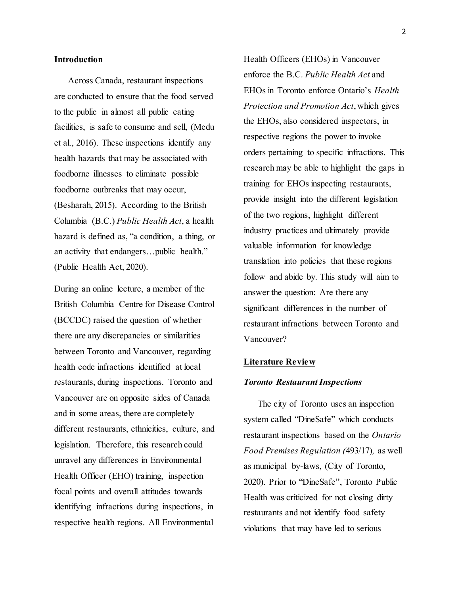## **Introduction**

Across Canada, restaurant inspections are conducted to ensure that the food served to the public in almost all public eating facilities, is safe to consume and sell, (Medu et al., 2016). These inspections identify any health hazards that may be associated with foodborne illnesses to eliminate possible foodborne outbreaks that may occur, (Besharah, 2015). According to the British Columbia (B.C.) *Public Health Act*, a health hazard is defined as, "a condition, a thing, or an activity that endangers…public health." (Public Health Act, 2020).

During an online lecture, a member of the British Columbia Centre for Disease Control (BCCDC) raised the question of whether there are any discrepancies or similarities between Toronto and Vancouver, regarding health code infractions identified at local restaurants, during inspections. Toronto and Vancouver are on opposite sides of Canada and in some areas, there are completely different restaurants, ethnicities, culture, and legislation. Therefore, this research could unravel any differences in Environmental Health Officer (EHO) training, inspection focal points and overall attitudes towards identifying infractions during inspections, in respective health regions. All Environmental

Health Officers (EHOs) in Vancouver enforce the B.C. *Public Health Act* and EHOs in Toronto enforce Ontario's *Health Protection and Promotion Act*, which gives the EHOs, also considered inspectors, in respective regions the power to invoke orders pertaining to specific infractions. This research may be able to highlight the gaps in training for EHOs inspecting restaurants, provide insight into the different legislation of the two regions, highlight different industry practices and ultimately provide valuable information for knowledge translation into policies that these regions follow and abide by. This study will aim to answer the question: Are there any significant differences in the number of restaurant infractions between Toronto and Vancouver?

## **Literature Review**

#### *Toronto Restaurant Inspections*

The city of Toronto uses an inspection system called "DineSafe" which conducts restaurant inspections based on the *Ontario Food Premises Regulation (*493/17)*,* as well as municipal by-laws, (City of Toronto, 2020). Prior to "DineSafe", Toronto Public Health was criticized for not closing dirty restaurants and not identify food safety violations that may have led to serious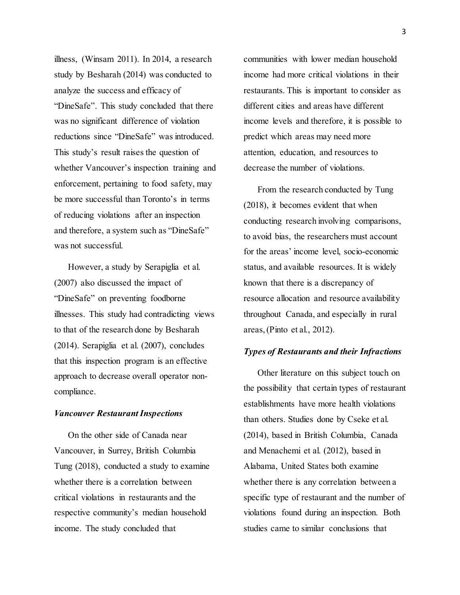illness, (Winsam 2011). In 2014, a research study by Besharah (2014) was conducted to analyze the success and efficacy of "DineSafe". This study concluded that there was no significant difference of violation reductions since "DineSafe" was introduced. This study's result raises the question of whether Vancouver's inspection training and enforcement, pertaining to food safety, may be more successful than Toronto's in terms of reducing violations after an inspection and therefore, a system such as "DineSafe" was not successful.

However, a study by Serapiglia et al. (2007) also discussed the impact of "DineSafe" on preventing foodborne illnesses. This study had contradicting views to that of the research done by Besharah (2014). Serapiglia et al. (2007), concludes that this inspection program is an effective approach to decrease overall operator noncompliance.

## *Vancouver Restaurant Inspections*

On the other side of Canada near Vancouver, in Surrey, British Columbia Tung (2018), conducted a study to examine whether there is a correlation between critical violations in restaurants and the respective community's median household income. The study concluded that

communities with lower median household income had more critical violations in their restaurants. This is important to consider as different cities and areas have different income levels and therefore, it is possible to predict which areas may need more attention, education, and resources to decrease the number of violations.

From the research conducted by Tung (2018), it becomes evident that when conducting research involving comparisons, to avoid bias, the researchers must account for the areas' income level, socio-economic status, and available resources. It is widely known that there is a discrepancy of resource allocation and resource availability throughout Canada, and especially in rural areas, (Pinto et al., 2012).

## *Types of Restaurants and their Infractions*

Other literature on this subject touch on the possibility that certain types of restaurant establishments have more health violations than others. Studies done by Cseke et al. (2014), based in British Columbia, Canada and Menachemi et al. (2012), based in Alabama, United States both examine whether there is any correlation between a specific type of restaurant and the number of violations found during an inspection. Both studies came to similar conclusions that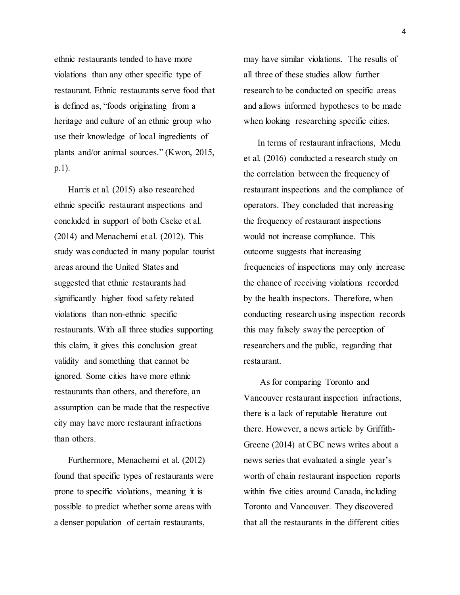ethnic restaurants tended to have more violations than any other specific type of restaurant. Ethnic restaurants serve food that is defined as, "foods originating from a heritage and culture of an ethnic group who use their knowledge of local ingredients of plants and/or animal sources." (Kwon, 2015, p.1).

Harris et al. (2015) also researched ethnic specific restaurant inspections and concluded in support of both Cseke et al. (2014) and Menachemi et al. (2012). This study was conducted in many popular tourist areas around the United States and suggested that ethnic restaurants had significantly higher food safety related violations than non-ethnic specific restaurants. With all three studies supporting this claim, it gives this conclusion great validity and something that cannot be ignored. Some cities have more ethnic restaurants than others, and therefore, an assumption can be made that the respective city may have more restaurant infractions than others.

Furthermore, Menachemi et al. (2012) found that specific types of restaurants were prone to specific violations, meaning it is possible to predict whether some areas with a denser population of certain restaurants,

may have similar violations. The results of all three of these studies allow further research to be conducted on specific areas and allows informed hypotheses to be made when looking researching specific cities.

In terms of restaurant infractions, Medu et al. (2016) conducted a research study on the correlation between the frequency of restaurant inspections and the compliance of operators. They concluded that increasing the frequency of restaurant inspections would not increase compliance. This outcome suggests that increasing frequencies of inspections may only increase the chance of receiving violations recorded by the health inspectors. Therefore, when conducting research using inspection records this may falsely sway the perception of researchers and the public, regarding that restaurant.

As for comparing Toronto and Vancouver restaurant inspection infractions, there is a lack of reputable literature out there. However, a news article by Griffith-Greene (2014) at CBC news writes about a news series that evaluated a single year's worth of chain restaurant inspection reports within five cities around Canada, including Toronto and Vancouver. They discovered that all the restaurants in the different cities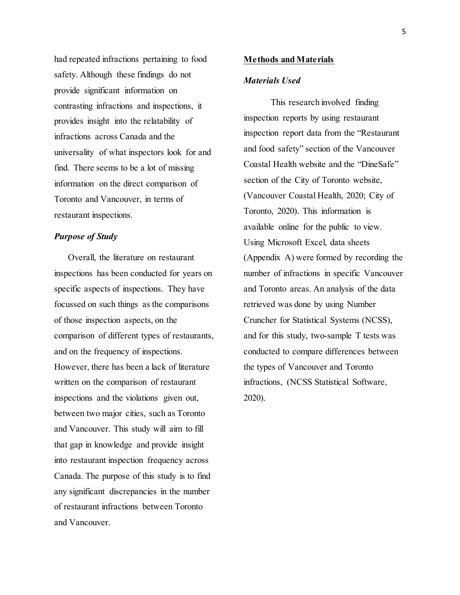had repeated infractions pertaining to food safety. Although these findings do not provide significant information on contrasting infractions and inspections, it provides insight into the relatability of infractions across Canada and the universality of what inspectors look for and find. There seems to be a lot of missing information on the direct comparison of Toronto and Vancouver, in terms of restaurant inspections.

# *Purpose of Study*

Overall, the literature on restaurant inspections has been conducted for years on specific aspects of inspections. They have focussed on such things as the comparisons of those inspection aspects, on the comparison of different types of restaurants, and on the frequency of inspections. However, there has been a lack of literature written on the comparison of restaurant inspections and the violations given out, between two major cities, such as Toronto and Vancouver. This study will aim to fill that gap in knowledge and provide insight into restaurant inspection frequency across Canada. The purpose of this study is to find any significant discrepancies in the number of restaurant infractions between Toronto and Vancouver.

#### **Methods and Materials**

## *Materials Used*

This research involved finding inspection reports by using restaurant inspection report data from the "Restaurant and food safety" section of the Vancouver Coastal Health website and the "DineSafe" section of the City of Toronto website, (Vancouver Coastal Health, 2020; City of Toronto, 2020). This information is available online for the public to view. Using Microsoft Excel, data sheets (Appendix A) were formed by recording the number of infractions in specific Vancouver and Toronto areas. An analysis of the data retrieved was done by using Number Cruncher for Statistical Systems (NCSS), and for this study, two-sample T tests was conducted to compare differences between the types of Vancouver and Toronto infractions, (NCSS Statistical Software, 2020).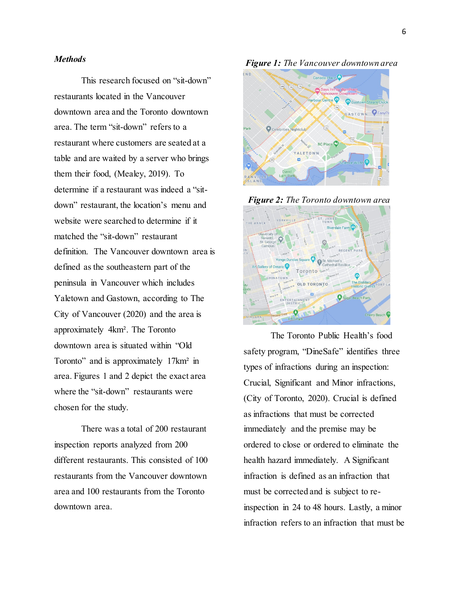## *Methods*

This research focused on "sit-down" restaurants located in the Vancouver downtown area and the Toronto downtown area. The term "sit-down" refers to a restaurant where customers are seated at a table and are waited by a server who brings them their food, (Mealey, 2019). To determine if a restaurant was indeed a "sitdown" restaurant, the location's menu and website were searched to determine if it matched the "sit-down" restaurant definition. The Vancouver downtown area is defined as the southeastern part of the peninsula in Vancouver which includes Yaletown and Gastown, according to The City of Vancouver (2020) and the area is approximately 4km². The Toronto downtown area is situated within "Old Toronto" and is approximately 17km<sup>2</sup> in area. Figures 1 and 2 depict the exact area where the "sit-down" restaurants were chosen for the study.

There was a total of 200 restaurant inspection reports analyzed from 200 different restaurants. This consisted of 100 restaurants from the Vancouver downtown area and 100 restaurants from the Toronto downtown area.

*Figure 1: The Vancouver downtown area*







The Toronto Public Health's food safety program, "DineSafe" identifies three types of infractions during an inspection: Crucial, Significant and Minor infractions, (City of Toronto, 2020). Crucial is defined as infractions that must be corrected immediately and the premise may be ordered to close or ordered to eliminate the health hazard immediately. A Significant infraction is defined as an infraction that must be corrected and is subject to reinspection in 24 to 48 hours. Lastly, a minor infraction refers to an infraction that must be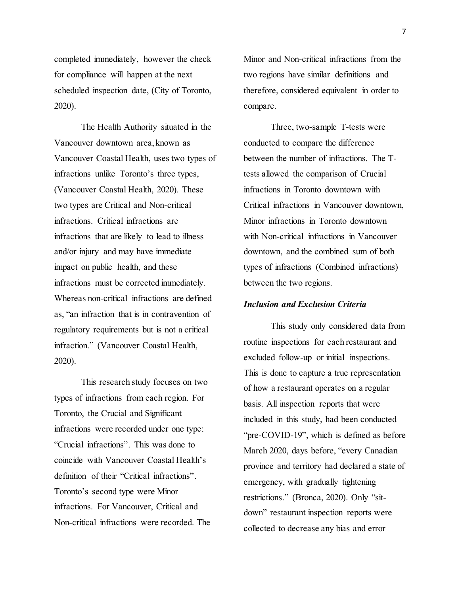completed immediately, however the check for compliance will happen at the next scheduled inspection date, (City of Toronto, 2020).

The Health Authority situated in the Vancouver downtown area, known as Vancouver Coastal Health, uses two types of infractions unlike Toronto's three types, (Vancouver Coastal Health, 2020). These two types are Critical and Non-critical infractions. Critical infractions are infractions that are likely to lead to illness and/or injury and may have immediate impact on public health, and these infractions must be corrected immediately. Whereas non-critical infractions are defined as, "an infraction that is in contravention of regulatory requirements but is not a critical infraction." (Vancouver Coastal Health, 2020).

This research study focuses on two types of infractions from each region. For Toronto, the Crucial and Significant infractions were recorded under one type: "Crucial infractions". This was done to coincide with Vancouver Coastal Health's definition of their "Critical infractions". Toronto's second type were Minor infractions. For Vancouver, Critical and Non-critical infractions were recorded. The Minor and Non-critical infractions from the two regions have similar definitions and therefore, considered equivalent in order to compare.

Three, two-sample T-tests were conducted to compare the difference between the number of infractions. The Ttests allowed the comparison of Crucial infractions in Toronto downtown with Critical infractions in Vancouver downtown, Minor infractions in Toronto downtown with Non-critical infractions in Vancouver downtown, and the combined sum of both types of infractions (Combined infractions) between the two regions.

#### *Inclusion and Exclusion Criteria*

This study only considered data from routine inspections for each restaurant and excluded follow-up or initial inspections. This is done to capture a true representation of how a restaurant operates on a regular basis. All inspection reports that were included in this study, had been conducted "pre-COVID-19", which is defined as before March 2020, days before, "every Canadian province and territory had declared a state of emergency, with gradually tightening restrictions." (Bronca, 2020). Only "sitdown" restaurant inspection reports were collected to decrease any bias and error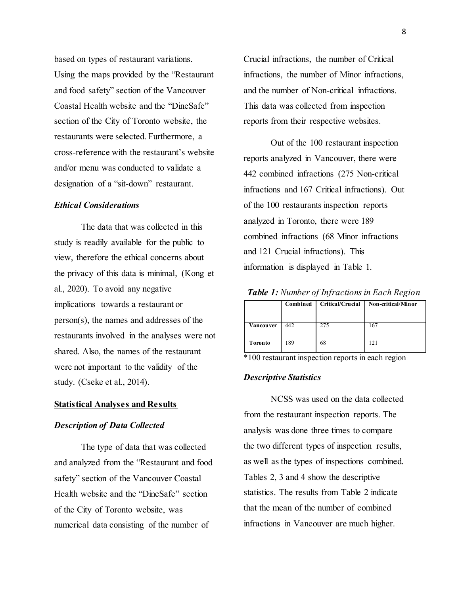based on types of restaurant variations. Using the maps provided by the "Restaurant and food safety" section of the Vancouver Coastal Health website and the "DineSafe" section of the City of Toronto website, the restaurants were selected. Furthermore, a cross-reference with the restaurant's website and/or menu was conducted to validate a designation of a "sit-down" restaurant.

## *Ethical Considerations*

The data that was collected in this study is readily available for the public to view, therefore the ethical concerns about the privacy of this data is minimal, (Kong et al., 2020). To avoid any negative implications towards a restaurant or person(s), the names and addresses of the restaurants involved in the analyses were not shared. Also, the names of the restaurant were not important to the validity of the study. (Cseke et al., 2014).

### **Statistical Analyses and Results**

## *Description of Data Collected*

The type of data that was collected and analyzed from the "Restaurant and food safety" section of the Vancouver Coastal Health website and the "DineSafe" section of the City of Toronto website, was numerical data consisting of the number of

Crucial infractions, the number of Critical infractions, the number of Minor infractions, and the number of Non-critical infractions. This data was collected from inspection reports from their respective websites.

Out of the 100 restaurant inspection reports analyzed in Vancouver, there were 442 combined infractions (275 Non-critical infractions and 167 Critical infractions). Out of the 100 restaurants inspection reports analyzed in Toronto, there were 189 combined infractions (68 Minor infractions and 121 Crucial infractions). This information is displayed in Table 1.

*Table 1: Number of Infractions in Each Region*

|                | Combined | Critical/Crucial | <b>Non-critical/Minor</b> |
|----------------|----------|------------------|---------------------------|
| Vancouver      | 442      | 275              | 167                       |
| <b>Toronto</b> | 189      | 68               | 121                       |

\*100 restaurant inspection reports in each region

## *Descriptive Statistics*

NCSS was used on the data collected from the restaurant inspection reports. The analysis was done three times to compare the two different types of inspection results, as well as the types of inspections combined. Tables 2, 3 and 4 show the descriptive statistics. The results from Table 2 indicate that the mean of the number of combined infractions in Vancouver are much higher.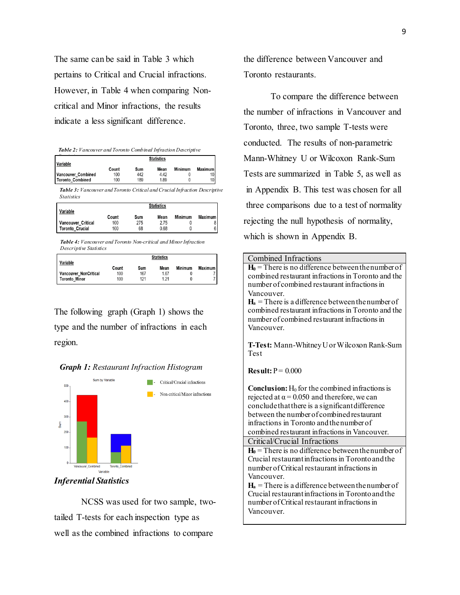The same can be said in Table 3 which pertains to Critical and Crucial infractions. However, in Table 4 when comparing Noncritical and Minor infractions, the results indicate a less significant difference.

|  |  | <b>Table 2:</b> Vancouver and Toronto Combined Infraction Descriptive |  |
|--|--|-----------------------------------------------------------------------|--|
|  |  |                                                                       |  |

| <b>Variable</b>    | <b>Statistics</b> |     |      |         |                |
|--------------------|-------------------|-----|------|---------|----------------|
|                    | Count             | Sum | Mean | Minimum | <b>Maximum</b> |
| Vancouver Combined | 100               | 442 | 4.42 |         | 10             |
| Toronto_Combined   | 100               | 189 | 1.89 |         | 10             |

*Table 3: Vancouver and Toronto Critical and Crucial Infraction Descriptive Statistics*

|                        |       |     | <b>Statistics</b> |         |         |
|------------------------|-------|-----|-------------------|---------|---------|
| Variable               | Count | Sum | Mean              | Minimum | Maximum |
| Vancouver Critical     | 100   | 275 | 2.75              |         |         |
| <b>Toronto Crucial</b> | 100   | 68  | 0.68              |         |         |

*Table 4: Vancouver and Toronto Non-critical and Minor Infraction Descriptive Statistics*

| <b>Variable</b>       |       |     | <b>Statistics</b> |         |           |
|-----------------------|-------|-----|-------------------|---------|-----------|
|                       | Count | Sum | Mean              | Minimum | Maximum I |
| Vancouver NonCritical | 100   | 167 | 1.67              |         |           |
| Toronto Minor         | 100   | 121 | 1.21              |         |           |

The following graph (Graph 1) shows the type and the number of infractions in each region.





## *Inferential Statistics*

NCSS was used for two sample, twotailed T-tests for each inspection type as well as the combined infractions to compare

the difference between Vancouver and Toronto restaurants.

To compare the difference between the number of infractions in Vancouver and Toronto, three, two sample T-tests were conducted. The results of non-parametric Mann-Whitney U or Wilcoxon Rank-Sum Tests are summarized in Table 5, as well as in Appendix B. This test was chosen for all three comparisons due to a test of normality rejecting the null hypothesis of normality, which is shown in Appendix B.

| Combined Infractions                                                          |
|-------------------------------------------------------------------------------|
| $H_0$ = There is no difference between the number of                          |
| combined restaurant infractions in Toronto and the                            |
| number of combined restaurant infractions in<br>Vancouver.                    |
| $H_a$ = There is a difference between the number of                           |
| combined restaurant infractions in Toronto and the                            |
| number of combined restaurant infractions in                                  |
| Vancouver.                                                                    |
|                                                                               |
| T-Test: Mann-Whitney U or Wilcoxon Rank-Sum<br>Test                           |
|                                                                               |
| Result: $P = 0.000$                                                           |
| <b>Conclusion:</b> $H_0$ for the combined infractions is                      |
| rejected at $\alpha$ = 0.050 and therefore, we can                            |
| conclude that there is a significant difference                               |
| between the number of combined restaurant                                     |
| infractions in Toronto and the number of                                      |
| combined restaurant infractions in Vancouver.<br>Critical/Crucial Infractions |
| $H_0$ = There is no difference between the number of                          |
| Crucial restaurant infractions in Toronto and the                             |
| number of Critical restaurant infractions in                                  |
| Vancouver.                                                                    |
| $H_a$ = There is a difference between the number of                           |
| Crucial restaurant infractions in Toronto and the                             |
| number of Critical restaurant infractions in                                  |
| Vancouver.                                                                    |
|                                                                               |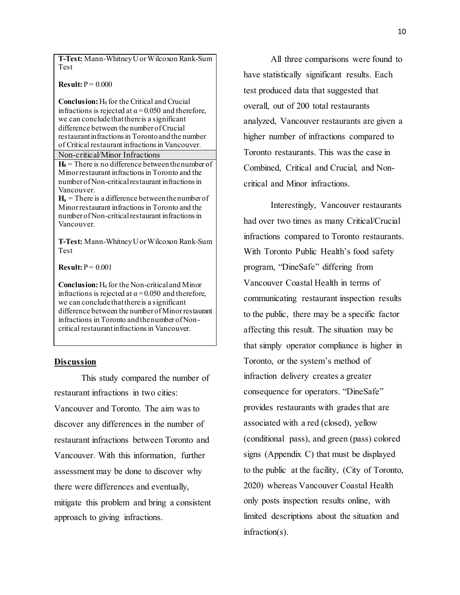**T-Test:** Mann-Whitney U or Wilcoxon Rank-Sum Test

 $Result: P = 0.000$ 

**Conclusion:** H<sub>0</sub> for the Critical and Crucial infractions is rejected at  $\alpha$  = 0.050 and therefore, we can conclude that there is a significant difference between the number of Crucial restaurant infractions in Toronto and the number of Critical restaurant infractions in Vancouver.

## Non-critical/Minor Infractions

 $H_0$  = There is no difference between the number of Minor restaurant infractions in Toronto and the number of Non-critical restaurant infractions in Vancouver.

 $H_a$  = There is a difference between the number of Minor restaurant infractions in Toronto and the number of Non-critical restaurant infractions in Vancouver.

**T-Test:** Mann-Whitney U or Wilcoxon Rank-Sum Test

**Result:**  $P = 0.001$ 

**Conclusion:**H<sup>0</sup> for the Non-critical and Minor infractions is rejected at  $\alpha$  = 0.050 and therefore, we can conclude that there is a significant difference between the number of Minor restaurant infractions in Toronto and the number of Noncritical restaurant infractions in Vancouver.

#### **Discussion**

This study compared the number of restaurant infractions in two cities: Vancouver and Toronto. The aim was to discover any differences in the number of restaurant infractions between Toronto and Vancouver. With this information, further assessment may be done to discover why there were differences and eventually, mitigate this problem and bring a consistent approach to giving infractions.

All three comparisons were found to have statistically significant results. Each test produced data that suggested that overall, out of 200 total restaurants analyzed, Vancouver restaurants are given a higher number of infractions compared to Toronto restaurants. This was the case in Combined, Critical and Crucial, and Noncritical and Minor infractions.

Interestingly, Vancouver restaurants had over two times as many Critical/Crucial infractions compared to Toronto restaurants. With Toronto Public Health's food safety program, "DineSafe" differing from Vancouver Coastal Health in terms of communicating restaurant inspection results to the public, there may be a specific factor affecting this result. The situation may be that simply operator compliance is higher in Toronto, or the system's method of infraction delivery creates a greater consequence for operators. "DineSafe" provides restaurants with grades that are associated with a red (closed), yellow (conditional pass), and green (pass) colored signs (Appendix C) that must be displayed to the public at the facility, (City of Toronto, 2020) whereas Vancouver Coastal Health only posts inspection results online, with limited descriptions about the situation and infraction(s).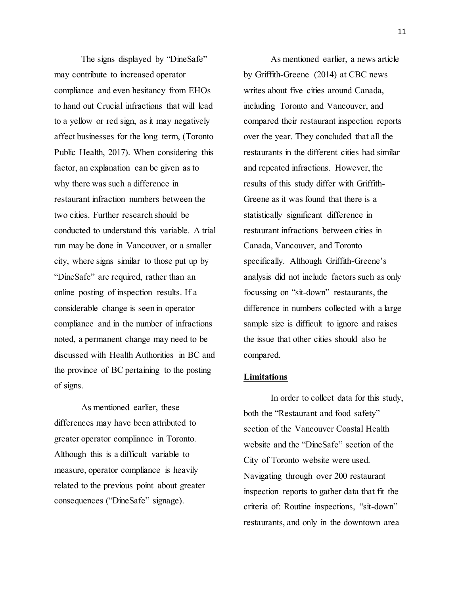The signs displayed by "DineSafe" may contribute to increased operator compliance and even hesitancy from EHOs to hand out Crucial infractions that will lead to a yellow or red sign, as it may negatively affect businesses for the long term, (Toronto Public Health, 2017). When considering this factor, an explanation can be given as to why there was such a difference in restaurant infraction numbers between the two cities. Further research should be conducted to understand this variable. A trial run may be done in Vancouver, or a smaller city, where signs similar to those put up by "DineSafe" are required, rather than an online posting of inspection results. If a considerable change is seen in operator compliance and in the number of infractions noted, a permanent change may need to be discussed with Health Authorities in BC and the province of BC pertaining to the posting of signs.

As mentioned earlier, these differences may have been attributed to greater operator compliance in Toronto. Although this is a difficult variable to measure, operator compliance is heavily related to the previous point about greater consequences ("DineSafe" signage).

As mentioned earlier, a news article by Griffith-Greene (2014) at CBC news writes about five cities around Canada, including Toronto and Vancouver, and compared their restaurant inspection reports over the year. They concluded that all the restaurants in the different cities had similar and repeated infractions. However, the results of this study differ with Griffith-Greene as it was found that there is a statistically significant difference in restaurant infractions between cities in Canada, Vancouver, and Toronto specifically. Although Griffith-Greene's analysis did not include factors such as only focussing on "sit-down" restaurants, the difference in numbers collected with a large sample size is difficult to ignore and raises the issue that other cities should also be compared.

#### **Limitations**

In order to collect data for this study, both the "Restaurant and food safety" section of the Vancouver Coastal Health website and the "DineSafe" section of the City of Toronto website were used. Navigating through over 200 restaurant inspection reports to gather data that fit the criteria of: Routine inspections, "sit-down" restaurants, and only in the downtown area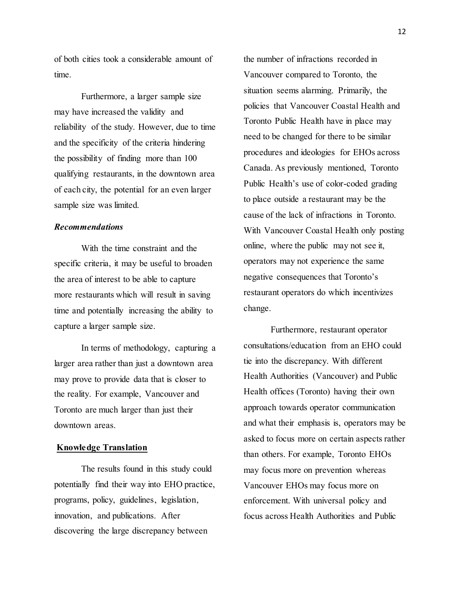of both cities took a considerable amount of time.

Furthermore, a larger sample size may have increased the validity and reliability of the study. However, due to time and the specificity of the criteria hindering the possibility of finding more than 100 qualifying restaurants, in the downtown area of each city, the potential for an even larger sample size was limited.

## *Recommendations*

With the time constraint and the specific criteria, it may be useful to broaden the area of interest to be able to capture more restaurants which will result in saving time and potentially increasing the ability to capture a larger sample size.

In terms of methodology, capturing a larger area rather than just a downtown area may prove to provide data that is closer to the reality. For example, Vancouver and Toronto are much larger than just their downtown areas.

## **Knowledge Translation**

The results found in this study could potentially find their way into EHO practice, programs, policy, guidelines, legislation, innovation, and publications. After discovering the large discrepancy between

the number of infractions recorded in Vancouver compared to Toronto, the situation seems alarming. Primarily, the policies that Vancouver Coastal Health and Toronto Public Health have in place may need to be changed for there to be similar procedures and ideologies for EHOs across Canada. As previously mentioned, Toronto Public Health's use of color-coded grading to place outside a restaurant may be the cause of the lack of infractions in Toronto. With Vancouver Coastal Health only posting online, where the public may not see it, operators may not experience the same negative consequences that Toronto's restaurant operators do which incentivizes change.

Furthermore, restaurant operator consultations/education from an EHO could tie into the discrepancy. With different Health Authorities (Vancouver) and Public Health offices (Toronto) having their own approach towards operator communication and what their emphasis is, operators may be asked to focus more on certain aspects rather than others. For example, Toronto EHOs may focus more on prevention whereas Vancouver EHOs may focus more on enforcement. With universal policy and focus across Health Authorities and Public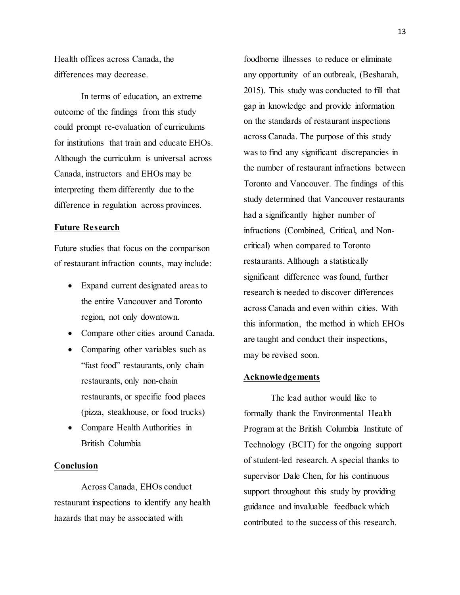Health offices across Canada, the differences may decrease.

In terms of education, an extreme outcome of the findings from this study could prompt re-evaluation of curriculums for institutions that train and educate EHOs. Although the curriculum is universal across Canada, instructors and EHOs may be interpreting them differently due to the difference in regulation across provinces.

#### **Future Research**

Future studies that focus on the comparison of restaurant infraction counts, may include:

- Expand current designated areas to the entire Vancouver and Toronto region, not only downtown.
- Compare other cities around Canada.
- Comparing other variables such as "fast food" restaurants, only chain restaurants, only non-chain restaurants, or specific food places (pizza, steakhouse, or food trucks)
- Compare Health Authorities in British Columbia

#### **Conclusion**

Across Canada, EHOs conduct restaurant inspections to identify any health hazards that may be associated with

foodborne illnesses to reduce or eliminate any opportunity of an outbreak, (Besharah, 2015). This study was conducted to fill that gap in knowledge and provide information on the standards of restaurant inspections across Canada. The purpose of this study was to find any significant discrepancies in the number of restaurant infractions between Toronto and Vancouver. The findings of this study determined that Vancouver restaurants had a significantly higher number of infractions (Combined, Critical, and Noncritical) when compared to Toronto restaurants. Although a statistically significant difference was found, further research is needed to discover differences across Canada and even within cities. With this information, the method in which EHOs are taught and conduct their inspections, may be revised soon.

### **Acknowledgements**

The lead author would like to formally thank the Environmental Health Program at the British Columbia Institute of Technology (BCIT) for the ongoing support of student-led research. A special thanks to supervisor Dale Chen, for his continuous support throughout this study by providing guidance and invaluable feedback which contributed to the success of this research.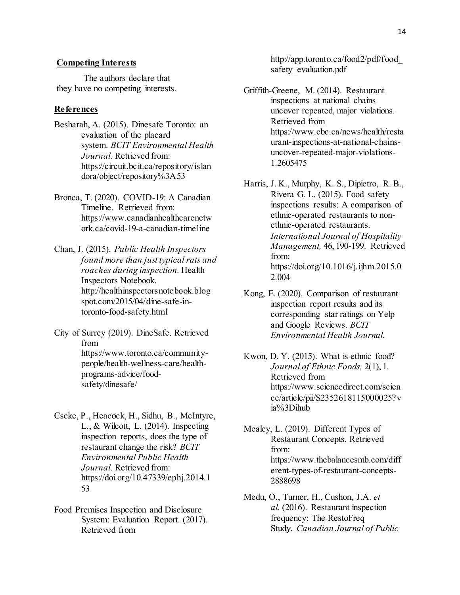## **Competing Interests**

The authors declare that they have no competing interests.

## **References**

- Besharah, A. (2015). Dinesafe Toronto: an evaluation of the placard system. *BCIT Environmental Health Journal*. Retrieved from: https://circuit.bcit.ca/repository/islan dora/object/repository%3A53
- Bronca, T. (2020). COVID-19: A Canadian Timeline. Retrieved from: https://www.canadianhealthcarenetw ork.ca/covid-19-a-canadian-timeline
- Chan, J. (2015). *Public Health Inspectors found more than just typical rats and roaches during inspection.* Health Inspectors Notebook. http://healthinspectorsnotebook.blog spot.com/2015/04/dine-safe-intoronto-food-safety.html
- City of Surrey (2019). DineSafe. Retrieved from https://www.toronto.ca/communitypeople/health-wellness-care/healthprograms-advice/foodsafety/dinesafe/
- Cseke, P., Heacock, H., Sidhu, B., McIntyre, L., & Wilcott, L. (2014). Inspecting inspection reports, does the type of restaurant change the risk? *BCIT Environmental Public Health Journal*. Retrieved from: https://doi.org/10.47339/ephj.2014.1 53
- Food Premises Inspection and Disclosure System: Evaluation Report. (2017). Retrieved from

http://app.toronto.ca/food2/pdf/food\_ safety evaluation.pdf

- Griffith-Greene, M. (2014). Restaurant inspections at national chains uncover repeated, major violations. Retrieved from https://www.cbc.ca/news/health/resta urant-inspections-at-national-chainsuncover-repeated-major-violations-1.2605475
- Harris, J. K., Murphy, K. S., Dipietro, R. B., Rivera G. L. (2015). Food safety inspections results: A comparison of ethnic-operated restaurants to nonethnic-operated restaurants. *International Journal of Hospitality Management,* 46, 190-199. Retrieved from: https://doi.org/10.1016/j.ijhm.2015.0 2.004
- Kong, E. (2020). Comparison of restaurant inspection report results and its corresponding star ratings on Yelp and Google Reviews. *BCIT Environmental Health Journal.*
- Kwon, D. Y. (2015). What is ethnic food? *Journal of Ethnic Foods,* 2(1), 1. Retrieved from https://www.sciencedirect.com/scien ce/article/pii/S2352618115000025?v ia%3Dihub
- Mealey, L. (2019). Different Types of Restaurant Concepts. Retrieved from: https://www.thebalancesmb.com/diff erent-types-of-restaurant-concepts-2888698
- Medu, O., Turner, H., Cushon, J.A. *et al.* (2016). Restaurant inspection frequency: The RestoFreq Study. *Canadian Journal of Public*